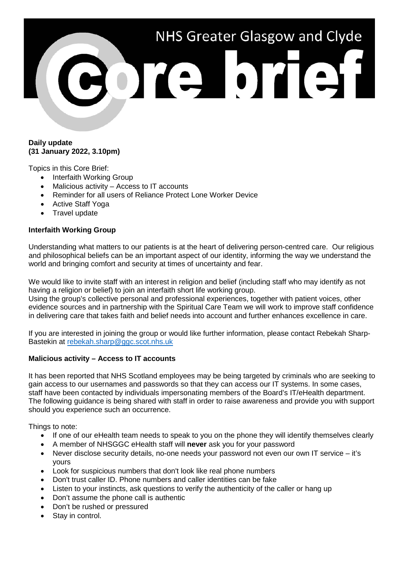# NHS Greater Glasgow and Clyde Porte brief!

# **Daily update (31 January 2022, 3.10pm)**

Topics in this Core Brief:

- Interfaith Working Group
- Malicious activity Access to IT accounts
- Reminder for all users of Reliance Protect Lone Worker Device
- Active Staff Yoga
- Travel update

# **Interfaith Working Group**

Understanding what matters to our patients is at the heart of delivering person-centred care. Our religious and philosophical beliefs can be an important aspect of our identity, informing the way we understand the world and bringing comfort and security at times of uncertainty and fear.

We would like to invite staff with an interest in religion and belief (including staff who may identify as not having a religion or belief) to join an interfaith short life working group.

Using the group's collective personal and professional experiences, together with patient voices, other evidence sources and in partnership with the Spiritual Care Team we will work to improve staff confidence in delivering care that takes faith and belief needs into account and further enhances excellence in care.

If you are interested in joining the group or would like further information, please contact Rebekah Sharp-Bastekin at [rebekah.sharp@ggc.scot.nhs.uk](mailto:rebekah.sharp@ggc.scot.nhs.uk)

# **Malicious activity – Access to IT accounts**

It has been reported that NHS Scotland employees may be being targeted by criminals who are seeking to gain access to our usernames and passwords so that they can access our IT systems. In some cases, staff have been contacted by individuals impersonating members of the Board's IT/eHealth department. The following guidance is being shared with staff in order to raise awareness and provide you with support should you experience such an occurrence.

Things to note:

- If one of our eHealth team needs to speak to you on the phone they will identify themselves clearly
- A member of NHSGGC eHealth staff will **never** ask you for your password
- Never disclose security details, no-one needs your password not even our own IT service it's yours
- Look for suspicious numbers that don't look like real phone numbers
- Don't trust caller ID. Phone numbers and caller identities can be fake
- Listen to your instincts, ask questions to verify the authenticity of the caller or hang up
- Don't assume the phone call is authentic
- Don't be rushed or pressured
- Stay in control.